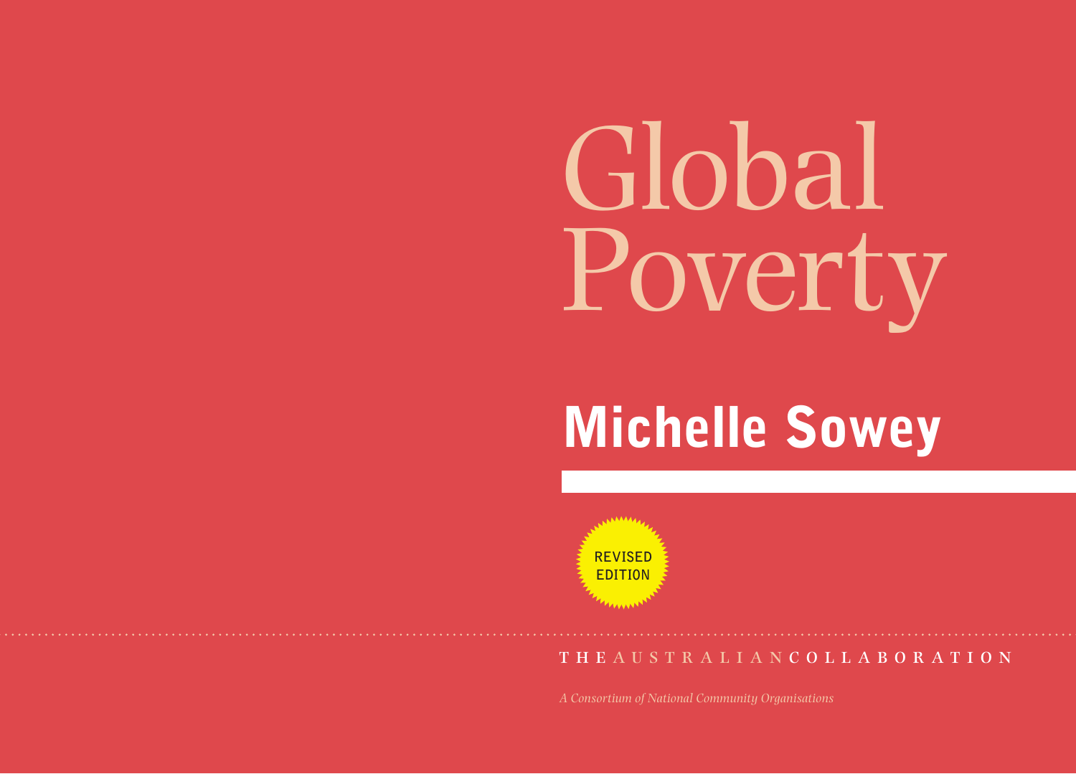# Global Poverty

# Michelle Sowey

**REVISED EDITION**

the australian c o l l a b o r a t i o n

*A Consortium of National Community Organisations*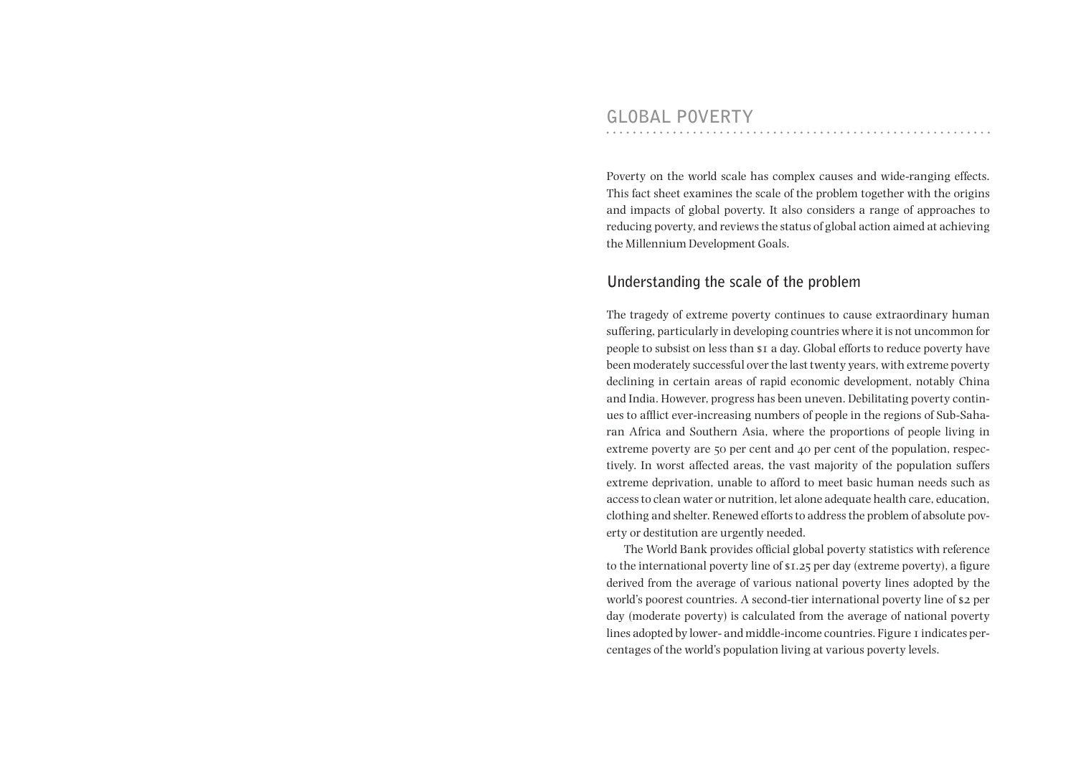Poverty on the world scale has complex causes and wide-ranging effects. This fact sheet examines the scale of the problem together with the origins and impacts of global poverty. It also considers a range of approaches to reducing poverty, and reviews the status of global action aimed at achieving the Millennium Development Goals.

### **Understanding the scale of the problem**

The tragedy of extreme poverty continues to cause extraordinary human suffering, particularly in developing countries where it is not uncommon for people to subsist on less than \$1 a day. Global efforts to reduce poverty have been moderately successful over the last twenty years, with extreme poverty declining in certain areas of rapid economic development, notably China and India. However, progress has been uneven. Debilitating poverty continues to afflict ever-increasing numbers of people in the regions of Sub-Saharan Africa and Southern Asia, where the proportions of people living in extreme poverty are 50 per cent and 40 per cent of the population, respectively. In worst affected areas, the vast majority of the population suffers extreme deprivation, unable to afford to meet basic human needs such as access to clean water or nutrition, let alone adequate health care, education, clothing and shelter. Renewed efforts to address the problem of absolute poverty or destitution are urgently needed.

The World Bank provides official global poverty statistics with reference to the international poverty line of \$1.25 per day (extreme poverty), a figure derived from the average of various national poverty lines adopted by the world's poorest countries. A second-tier international poverty line of \$2 per day (moderate poverty) is calculated from the average of national poverty lines adopted by lower- and middle-income countries. Figure 1 indicates percentages of the world's population living at various poverty levels.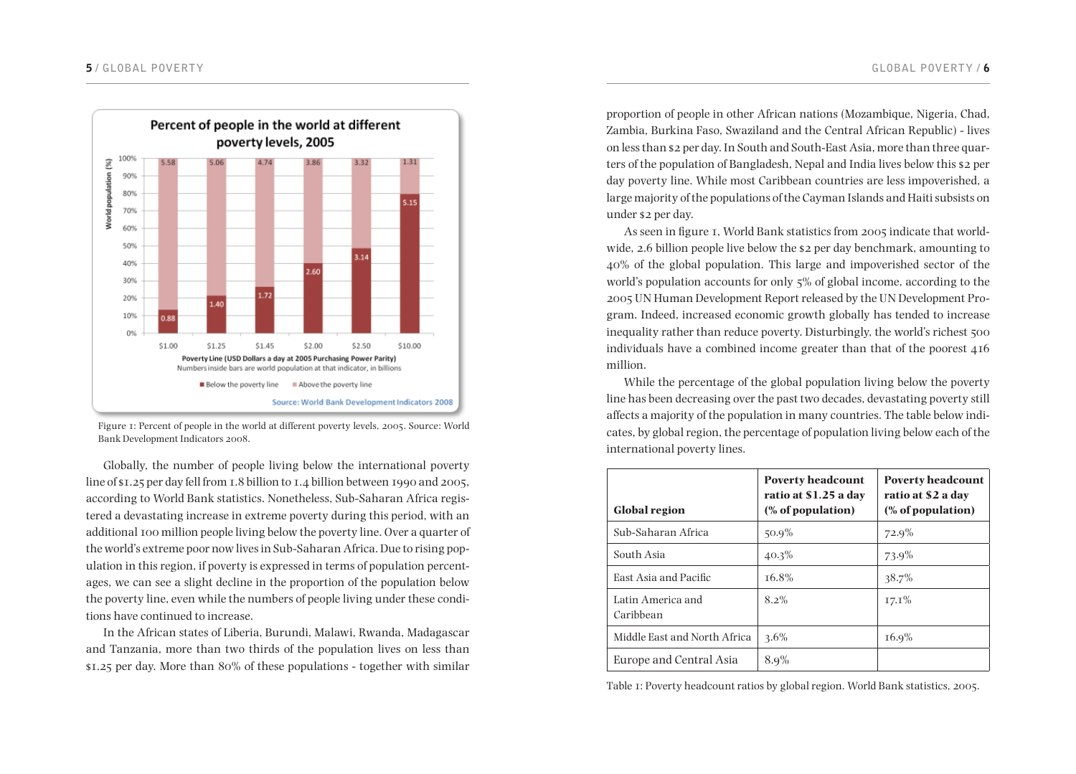

Figure 1: Percent of people in the world at different poverty levels, 2005. Source: World Bank Development Indicators 2008.

Globally, the number of people living below the international poverty line of \$1.25 per day fell from 1.8 billion to 1.4 billion between 1990 and 2005, according to World Bank statistics. Nonetheless, Sub-Saharan Africa registered a devastating increase in extreme poverty during this period, with an additional 100 million people living below the poverty line. Over a quarter of the world's extreme poor now lives in Sub-Saharan Africa. Due to rising population in this region, if poverty is expressed in terms of population percentages, we can see a slight decline in the proportion of the population below the poverty line, even while the numbers of people living under these conditions have continued to increase.

In the African states of Liberia, Burundi, Malawi, Rwanda, Madagascar and Tanzania, more than two thirds of the population lives on less than \$1.25 per day. More than 80% of these populations - together with similar

proportion of people in other African nations (Mozambique, Nigeria, Chad, Zambia, Burkina Faso, Swaziland and the Central African Republic) - lives on less than \$2 per day. In South and South-East Asia, more than three quarters of the population of Bangladesh, Nepal and India lives below this \$2 per day poverty line. While most Caribbean countries are less impoverished, a large majority of the populations of the Cayman Islands and Haiti subsists on under \$2 per day.

As seen in figure 1, World Bank statistics from 2005 indicate that worldwide, 2.6 billion people live below the \$2 per day benchmark, amounting to 40% of the global population. This large and impoverished sector of the world's population accounts for only 5% of global income, according to the 2005 UN Human Development Report released by the UN Development Program. Indeed, increased economic growth globally has tended to increase inequality rather than reduce poverty. Disturbingly, the world's richest 500 individuals have a combined income greater than that of the poorest 416 million.

While the percentage of the global population living below the poverty line has been decreasing over the past two decades, devastating poverty still affects a majority of the population in many countries. The table below indicates, by global region, the percentage of population living below each of the international poverty lines.

| <b>Global region</b>           | <b>Poverty headcount</b><br>ratio at \$1.25 a day<br>(% of population) | <b>Poverty headcount</b><br>ratio at \$2 a day<br>(% of population) |
|--------------------------------|------------------------------------------------------------------------|---------------------------------------------------------------------|
| Sub-Saharan Africa             | $50.9\%$                                                               | 72.9%                                                               |
| South Asia                     | $40.3\%$                                                               | 73.9%                                                               |
| East Asia and Pacific          | T <sub>6.8</sub> %                                                     | $38.7\%$                                                            |
| Latin America and<br>Caribbean | $8.2\%$                                                                | $17.1\%$                                                            |
| Middle East and North Africa   | $3.6\%$                                                                | $16.9\%$                                                            |
| Europe and Central Asia        | $8.9\%$                                                                |                                                                     |

Table 1: Poverty headcount ratios by global region. World Bank statistics, 2005.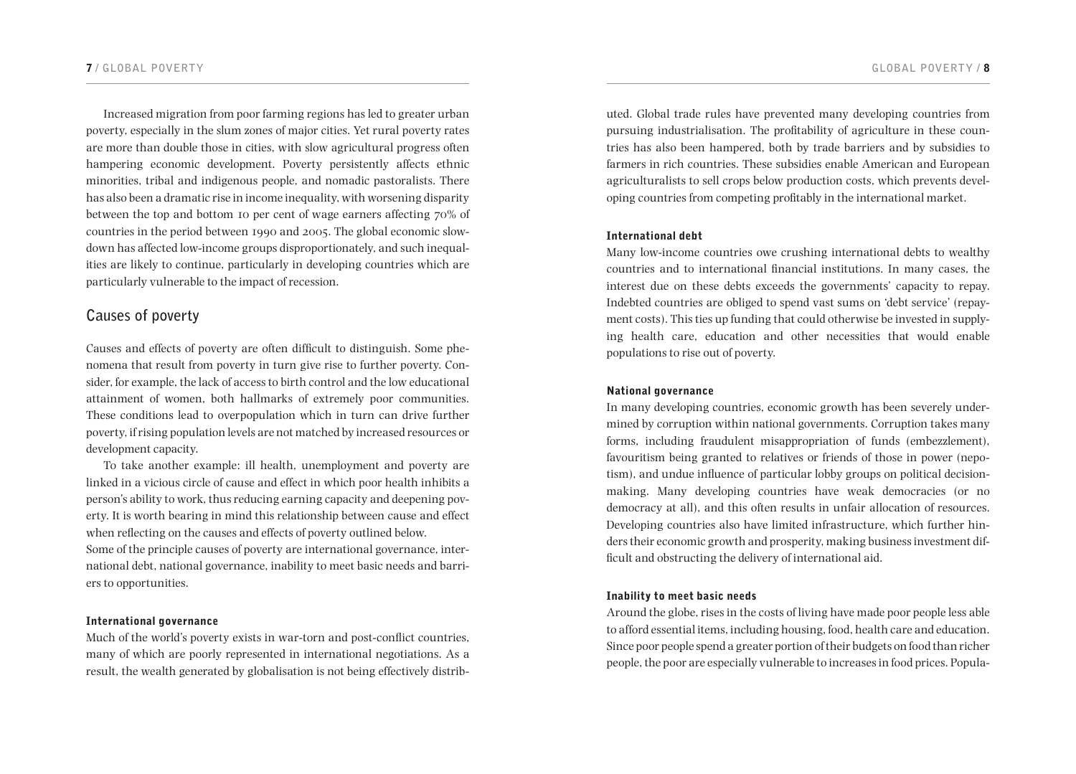Increased migration from poor farming regions has led to greater urban poverty, especially in the slum zones of major cities. Yet rural poverty rates are more than double those in cities, with slow agricultural progress often hampering economic development. Poverty persistently affects ethnic minorities, tribal and indigenous people, and nomadic pastoralists. There has also been a dramatic rise in income inequality, with worsening disparity between the top and bottom 10 per cent of wage earners affecting 70% of countries in the period between 1990 and 2005. The global economic slowdown has affected low-income groups disproportionately, and such inequalities are likely to continue, particularly in developing countries which are particularly vulnerable to the impact of recession.

# **Causes of poverty**

Causes and effects of poverty are often difficult to distinguish. Some phenomena that result from poverty in turn give rise to further poverty. Consider, for example, the lack of access to birth control and the low educational attainment of women, both hallmarks of extremely poor communities. These conditions lead to overpopulation which in turn can drive further poverty, if rising population levels are not matched by increased resources or development capacity.

To take another example: ill health, unemployment and poverty are linked in a vicious circle of cause and effect in which poor health inhibits a person's ability to work, thus reducing earning capacity and deepening poverty. It is worth bearing in mind this relationship between cause and effect when reflecting on the causes and effects of poverty outlined below.

Some of the principle causes of poverty are international governance, international debt, national governance, inability to meet basic needs and barriers to opportunities.

#### International governance

Much of the world's poverty exists in war-torn and post-conflict countries, many of which are poorly represented in international negotiations. As a result, the wealth generated by globalisation is not being effectively distrib-

uted. Global trade rules have prevented many developing countries from pursuing industrialisation. The profitability of agriculture in these countries has also been hampered, both by trade barriers and by subsidies to farmers in rich countries. These subsidies enable American and European agriculturalists to sell crops below production costs, which prevents developing countries from competing profitably in the international market.

#### International debt

Many low-income countries owe crushing international debts to wealthy countries and to international financial institutions. In many cases, the interest due on these debts exceeds the governments' capacity to repay. Indebted countries are obliged to spend vast sums on 'debt service' (repayment costs). This ties up funding that could otherwise be invested in supplying health care, education and other necessities that would enable populations to rise out of poverty.

#### National governance

In many developing countries, economic growth has been severely undermined by corruption within national governments. Corruption takes many forms, including fraudulent misappropriation of funds (embezzlement), favouritism being granted to relatives or friends of those in power (nepotism), and undue influence of particular lobby groups on political decisionmaking. Many developing countries have weak democracies (or no democracy at all), and this often results in unfair allocation of resources. Developing countries also have limited infrastructure, which further hinders their economic growth and prosperity, making business investment difficult and obstructing the delivery of international aid.

#### Inability to meet basic needs

Around the globe, rises in the costs of living have made poor people less able to afford essential items, including housing, food, health care and education. Since poor people spend a greater portion of their budgets on food than richer people, the poor are especially vulnerable to increases in food prices. Popula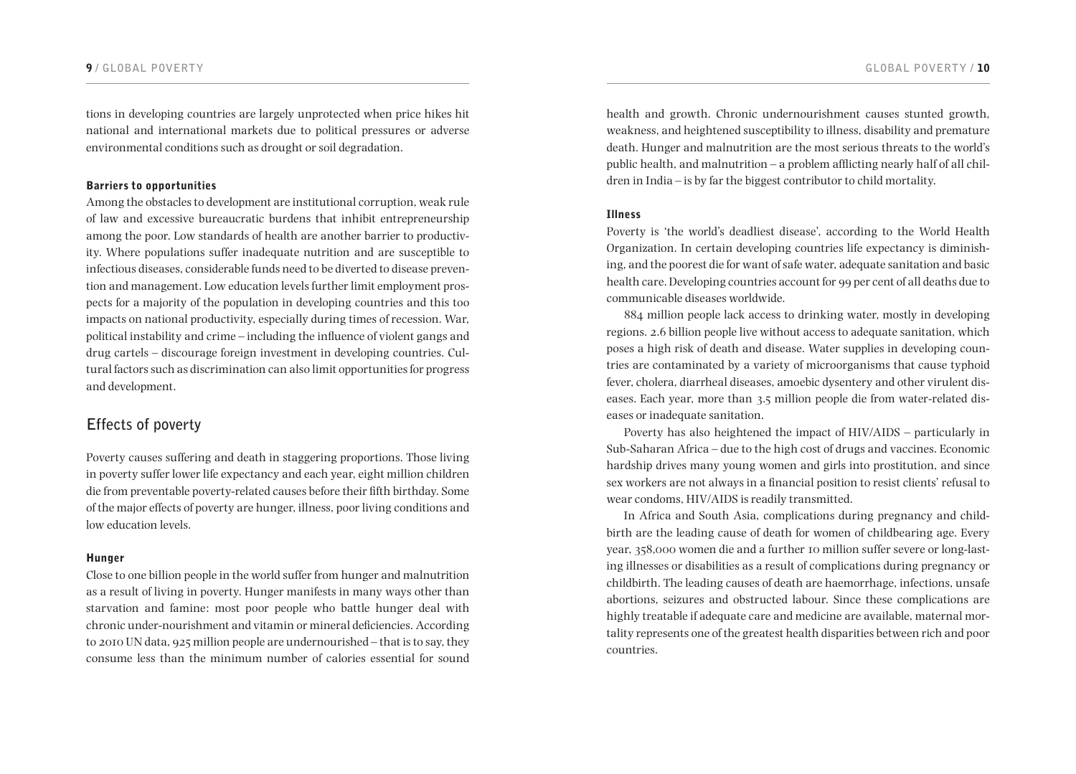tions in developing countries are largely unprotected when price hikes hit national and international markets due to political pressures or adverse environmental conditions such as drought or soil degradation.

#### Barriers to opportunities

Among the obstacles to development are institutional corruption, weak rule of law and excessive bureaucratic burdens that inhibit entrepreneurship among the poor. Low standards of health are another barrier to productivity. Where populations suffer inadequate nutrition and are susceptible to infectious diseases, considerable funds need to be diverted to disease prevention and management. Low education levels further limit employment prospects for a majority of the population in developing countries and this too impacts on national productivity, especially during times of recession. War, political instability and crime – including the influence of violent gangs and drug cartels – discourage foreign investment in developing countries. Cultural factors such as discrimination can also limit opportunities for progress and development.

# **Effects of poverty**

Poverty causes suffering and death in staggering proportions. Those living in poverty suffer lower life expectancy and each year, eight million children die from preventable poverty-related causes before their fifth birthday. Some of the major effects of poverty are hunger, illness, poor living conditions and low education levels.

#### Hunger

Close to one billion people in the world suffer from hunger and malnutrition as a result of living in poverty. Hunger manifests in many ways other than starvation and famine: most poor people who battle hunger deal with chronic under-nourishment and vitamin or mineral deficiencies. According to 2010 UN data, 925 million people are undernourished – that is to say, they consume less than the minimum number of calories essential for sound

health and growth. Chronic undernourishment causes stunted growth, weakness, and heightened susceptibility to illness, disability and premature death. Hunger and malnutrition are the most serious threats to the world's public health, and malnutrition – a problem afflicting nearly half of all children in India – is by far the biggest contributor to child mortality.

#### Illness

Poverty is 'the world's deadliest disease', according to the World Health Organization. In certain developing countries life expectancy is diminishing, and the poorest die for want of safe water, adequate sanitation and basic health care. Developing countries account for 99 per cent of all deaths due to communicable diseases worldwide.

884 million people lack access to drinking water, mostly in developing regions. 2.6 billion people live without access to adequate sanitation, which poses a high risk of death and disease. Water supplies in developing countries are contaminated by a variety of microorganisms that cause typhoid fever, cholera, diarrheal diseases, amoebic dysentery and other virulent diseases. Each year, more than 3.5 million people die from water-related diseases or inadequate sanitation.

Poverty has also heightened the impact of HIV/AIDS – particularly in Sub-Saharan Africa – due to the high cost of drugs and vaccines. Economic hardship drives many young women and girls into prostitution, and since sex workers are not always in a financial position to resist clients' refusal to wear condoms, HIV/AIDS is readily transmitted.

In Africa and South Asia, complications during pregnancy and childbirth are the leading cause of death for women of childbearing age. Every year, 358,000 women die and a further 10 million suffer severe or long-lasting illnesses or disabilities as a result of complications during pregnancy or childbirth. The leading causes of death are haemorrhage, infections, unsafe abortions, seizures and obstructed labour. Since these complications are highly treatable if adequate care and medicine are available, maternal mortality represents one of the greatest health disparities between rich and poor countries.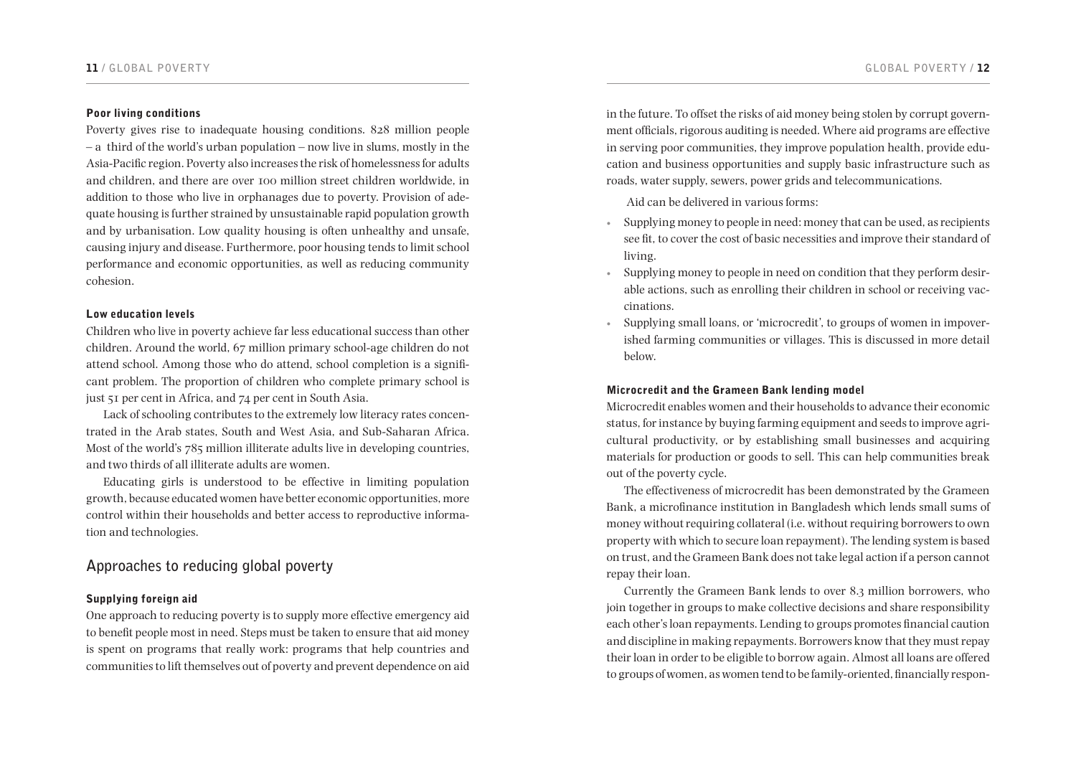#### Poor living conditions

Poverty gives rise to inadequate housing conditions. 828 million people – a third of the world's urban population – now live in slums, mostly in the Asia-Pacific region. Poverty also increases the risk of homelessness for adults and children, and there are over 100 million street children worldwide, in addition to those who live in orphanages due to poverty. Provision of adequate housing is further strained by unsustainable rapid population growth and by urbanisation. Low quality housing is often unhealthy and unsafe, causing injury and disease. Furthermore, poor housing tends to limit school performance and economic opportunities, as well as reducing community cohesion.

#### Low education levels

Children who live in poverty achieve far less educational success than other children. Around the world, 67 million primary school-age children do not attend school. Among those who do attend, school completion is a significant problem. The proportion of children who complete primary school is just 51 per cent in Africa, and 74 per cent in South Asia.

Lack of schooling contributes to the extremely low literacy rates concentrated in the Arab states, South and West Asia, and Sub-Saharan Africa. Most of the world's 785 million illiterate adults live in developing countries, and two thirds of all illiterate adults are women.

Educating girls is understood to be effective in limiting population growth, because educated women have better economic opportunities, more control within their households and better access to reproductive information and technologies.

# **Approaches to reducing global poverty**

#### Supplying foreign aid

One approach to reducing poverty is to supply more effective emergency aid to benefit people most in need. Steps must be taken to ensure that aid money is spent on programs that really work: programs that help countries and communities to lift themselves out of poverty and prevent dependence on aid in the future. To offset the risks of aid money being stolen by corrupt government officials, rigorous auditing is needed. Where aid programs are effective in serving poor communities, they improve population health, provide education and business opportunities and supply basic infrastructure such as roads, water supply, sewers, power grids and telecommunications.

Aid can be delivered in various forms:

- • Supplying money to people in need: money that can be used, as recipients see fit, to cover the cost of basic necessities and improve their standard of living.
- • Supplying money to people in need on condition that they perform desirable actions, such as enrolling their children in school or receiving vaccinations.
- • Supplying small loans, or 'microcredit', to groups of women in impoverished farming communities or villages. This is discussed in more detail below.

#### Microcredit and the Grameen Bank lending model

Microcredit enables women and their households to advance their economic status, for instance by buying farming equipment and seeds to improve agricultural productivity, or by establishing small businesses and acquiring materials for production or goods to sell. This can help communities break out of the poverty cycle.

The effectiveness of microcredit has been demonstrated by the Grameen Bank, a microfinance institution in Bangladesh which lends small sums of money without requiring collateral (i.e. without requiring borrowers to own property with which to secure loan repayment). The lending system is based on trust, and the Grameen Bank does not take legal action if a person cannot repay their loan.

Currently the Grameen Bank lends to over 8.3 million borrowers, who join together in groups to make collective decisions and share responsibility each other's loan repayments. Lending to groups promotes financial caution and discipline in making repayments. Borrowers know that they must repay their loan in order to be eligible to borrow again. Almost all loans are offered to groups of women, as women tend to be family-oriented, financially respon-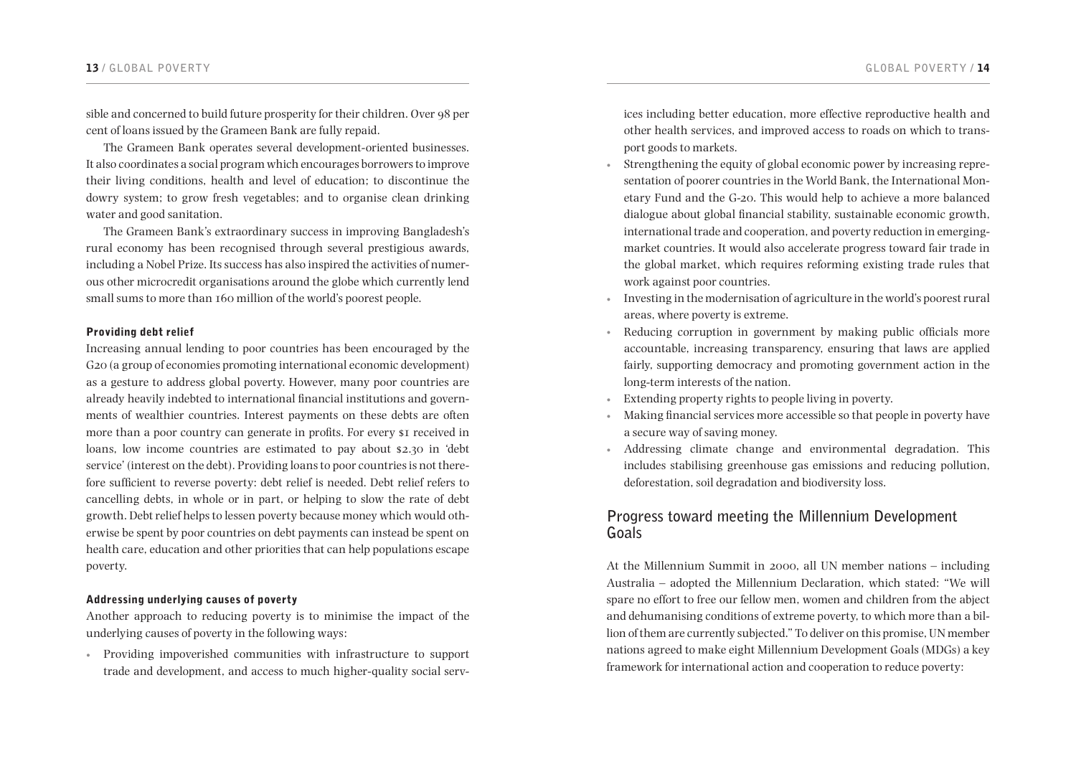#### 13 **/ GLOBAL POVERTY GLOBAL POVERTY /** 14

sible and concerned to build future prosperity for their children. Over 98 per cent of loans issued by the Grameen Bank are fully repaid.

The Grameen Bank operates several development-oriented businesses. It also coordinates a social program which encourages borrowers to improve their living conditions, health and level of education; to discontinue the dowry system; to grow fresh vegetables; and to organise clean drinking water and good sanitation.

The Grameen Bank's extraordinary success in improving Bangladesh's rural economy has been recognised through several prestigious awards, including a Nobel Prize. Its success has also inspired the activities of numerous other microcredit organisations around the globe which currently lend small sums to more than 160 million of the world's poorest people.

#### Providing debt relief

Increasing annual lending to poor countries has been encouraged by the G20 (a group of economies promoting international economic development) as a gesture to address global poverty. However, many poor countries are already heavily indebted to international financial institutions and governments of wealthier countries. Interest payments on these debts are often more than a poor country can generate in profits. For every \$1 received in loans, low income countries are estimated to pay about \$2.30 in 'debt service' (interest on the debt). Providing loans to poor countries is not therefore sufficient to reverse poverty: debt relief is needed. Debt relief refers to cancelling debts, in whole or in part, or helping to slow the rate of debt growth. Debt relief helps to lessen poverty because money which would otherwise be spent by poor countries on debt payments can instead be spent on health care, education and other priorities that can help populations escape poverty.

#### Addressing underlying causes of poverty

Another approach to reducing poverty is to minimise the impact of the underlying causes of poverty in the following ways:

• Providing impoverished communities with infrastructure to support trade and development, and access to much higher-quality social services including better education, more effective reproductive health and other health services, and improved access to roads on which to transport goods to markets.

- Strengthening the equity of global economic power by increasing representation of poorer countries in the World Bank, the International Monetary Fund and the G-20. This would help to achieve a more balanced dialogue about global financial stability, sustainable economic growth, international trade and cooperation, and poverty reduction in emergingmarket countries. It would also accelerate progress toward fair trade in the global market, which requires reforming existing trade rules that work against poor countries.
- • Investing in the modernisation of agriculture in the world's poorest rural areas, where poverty is extreme.
- Reducing corruption in government by making public officials more accountable, increasing transparency, ensuring that laws are applied fairly, supporting democracy and promoting government action in the long-term interests of the nation.
- • Extending property rights to people living in poverty.
- Making financial services more accessible so that people in poverty have a secure way of saving money.
- • Addressing climate change and environmental degradation. This includes stabilising greenhouse gas emissions and reducing pollution, deforestation, soil degradation and biodiversity loss.

# **Progress toward meeting the Millennium Development Goals**

At the Millennium Summit in 2000, all UN member nations – including Australia – adopted the Millennium Declaration, which stated: "We will spare no effort to free our fellow men, women and children from the abject and dehumanising conditions of extreme poverty, to which more than a billion of them are currently subjected." To deliver on this promise, UN member nations agreed to make eight Millennium Development Goals (MDGs) a key framework for international action and cooperation to reduce poverty: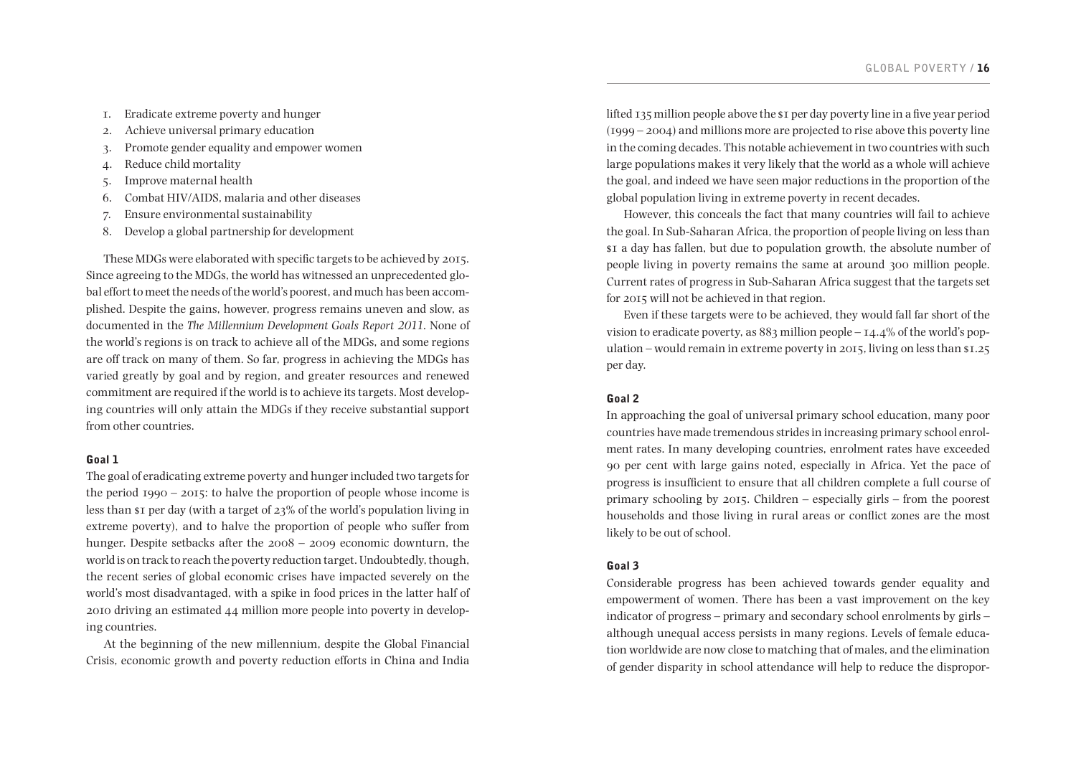- 1. Eradicate extreme poverty and hunger
- 2. Achieve universal primary education
- 3. Promote gender equality and empower women
- 4. Reduce child mortality
- 5. Improve maternal health
- 6. Combat HIV/AIDS, malaria and other diseases
- 7. Ensure environmental sustainability
- 8. Develop a global partnership for development

These MDGs were elaborated with specific targets to be achieved by 2015. Since agreeing to the MDGs, the world has witnessed an unprecedented global effort to meet the needs of the world's poorest, and much has been accomplished. Despite the gains, however, progress remains uneven and slow, as documented in the *The Millennium Development Goals Report 2011*. None of the world's regions is on track to achieve all of the MDGs, and some regions are off track on many of them. So far, progress in achieving the MDGs has varied greatly by goal and by region, and greater resources and renewed commitment are required if the world is to achieve its targets. Most developing countries will only attain the MDGs if they receive substantial support from other countries.

#### Goal 1

The goal of eradicating extreme poverty and hunger included two targets for the period  $1990 - 2015$ : to halve the proportion of people whose income is less than  $\overline{s}$  per day (with a target of  $23\%$  of the world's population living in extreme poverty), and to halve the proportion of people who suffer from hunger. Despite setbacks after the 2008 – 2009 economic downturn, the world is on track to reach the poverty reduction target. Undoubtedly, though, the recent series of global economic crises have impacted severely on the world's most disadvantaged, with a spike in food prices in the latter half of 2010 driving an estimated 44 million more people into poverty in developing countries.

At the beginning of the new millennium, despite the Global Financial Crisis, economic growth and poverty reduction efforts in China and India

lifted 135 million people above the \$1 per day poverty line in a five year period (1999 – 2004) and millions more are projected to rise above this poverty line in the coming decades. This notable achievement in two countries with such large populations makes it very likely that the world as a whole will achieve the goal, and indeed we have seen major reductions in the proportion of the global population living in extreme poverty in recent decades.

However, this conceals the fact that many countries will fail to achieve the goal. In Sub-Saharan Africa, the proportion of people living on less than \$1 a day has fallen, but due to population growth, the absolute number of people living in poverty remains the same at around 300 million people. Current rates of progress in Sub-Saharan Africa suggest that the targets set for 2015 will not be achieved in that region.

Even if these targets were to be achieved, they would fall far short of the vision to eradicate poverty, as 883 million people – 14.4% of the world's population – would remain in extreme poverty in 2015, living on less than \$1.25 per day.

#### Goal 2

In approaching the goal of universal primary school education, many poor countries have made tremendous strides in increasing primary school enrolment rates. In many developing countries, enrolment rates have exceeded 90 per cent with large gains noted, especially in Africa. Yet the pace of progress is insufficient to ensure that all children complete a full course of primary schooling by 2015. Children – especially girls – from the poorest households and those living in rural areas or conflict zones are the most likely to be out of school.

#### Goal 3

Considerable progress has been achieved towards gender equality and empowerment of women. There has been a vast improvement on the key indicator of progress – primary and secondary school enrolments by girls – although unequal access persists in many regions. Levels of female education worldwide are now close to matching that of males, and the elimination of gender disparity in school attendance will help to reduce the dispropor-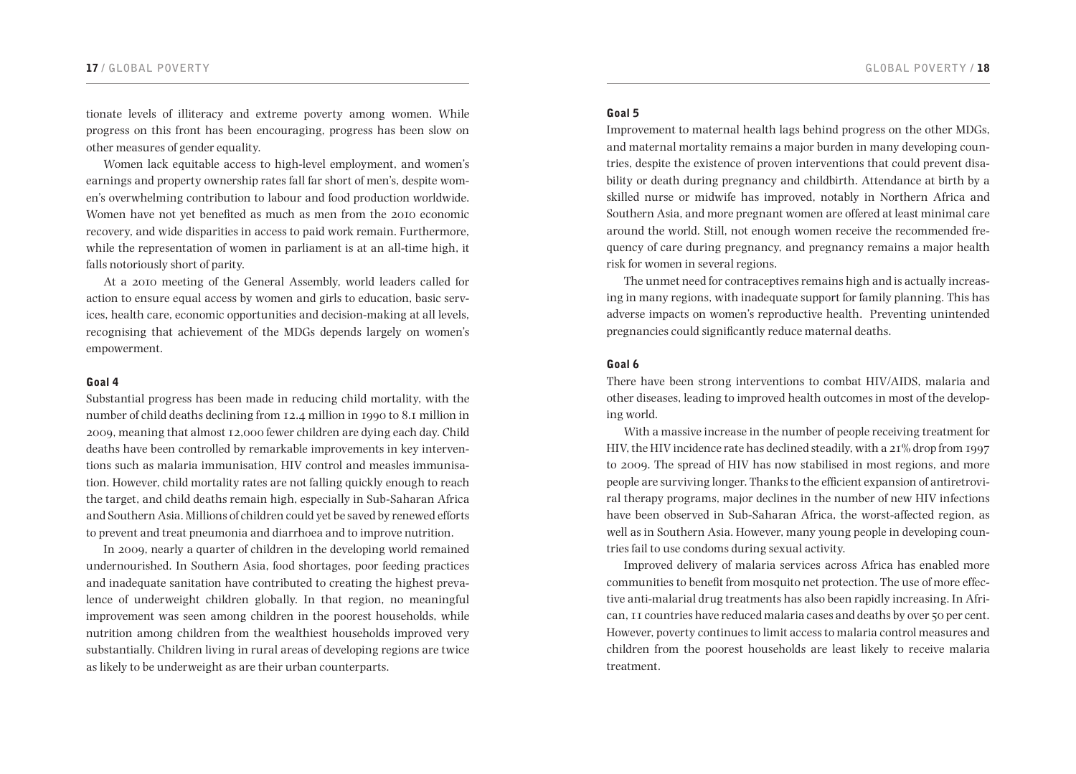#### 17 **/ GLOBAL POVERTY GLOBAL POVERTY /** 18

tionate levels of illiteracy and extreme poverty among women. While progress on this front has been encouraging, progress has been slow on other measures of gender equality.

Women lack equitable access to high-level employment, and women's earnings and property ownership rates fall far short of men's, despite women's overwhelming contribution to labour and food production worldwide. Women have not yet benefited as much as men from the 2010 economic recovery, and wide disparities in access to paid work remain. Furthermore, while the representation of women in parliament is at an all-time high, it falls notoriously short of parity.

At a 2010 meeting of the General Assembly, world leaders called for action to ensure equal access by women and girls to education, basic services, health care, economic opportunities and decision-making at all levels, recognising that achievement of the MDGs depends largely on women's empowerment.

#### Goal 4

Substantial progress has been made in reducing child mortality, with the number of child deaths declining from 12.4 million in 1990 to 8.1 million in 2009, meaning that almost 12,000 fewer children are dying each day. Child deaths have been controlled by remarkable improvements in key interventions such as malaria immunisation, HIV control and measles immunisation. However, child mortality rates are not falling quickly enough to reach the target, and child deaths remain high, especially in Sub-Saharan Africa and Southern Asia. Millions of children could yet be saved by renewed efforts to prevent and treat pneumonia and diarrhoea and to improve nutrition.

In 2009, nearly a quarter of children in the developing world remained undernourished. In Southern Asia, food shortages, poor feeding practices and inadequate sanitation have contributed to creating the highest prevalence of underweight children globally. In that region, no meaningful improvement was seen among children in the poorest households, while nutrition among children from the wealthiest households improved very substantially. Children living in rural areas of developing regions are twice as likely to be underweight as are their urban counterparts.

#### Goal 5

Improvement to maternal health lags behind progress on the other MDGs, and maternal mortality remains a major burden in many developing countries, despite the existence of proven interventions that could prevent disability or death during pregnancy and childbirth. Attendance at birth by a skilled nurse or midwife has improved, notably in Northern Africa and Southern Asia, and more pregnant women are offered at least minimal care around the world. Still, not enough women receive the recommended frequency of care during pregnancy, and pregnancy remains a major health risk for women in several regions.

The unmet need for contraceptives remains high and is actually increasing in many regions, with inadequate support for family planning. This has adverse impacts on women's reproductive health. Preventing unintended pregnancies could significantly reduce maternal deaths.

#### Goal 6

There have been strong interventions to combat HIV/AIDS, malaria and other diseases, leading to improved health outcomes in most of the developing world.

With a massive increase in the number of people receiving treatment for HIV, the HIV incidence rate has declined steadily, with a 21% drop from 1997 to 2009. The spread of HIV has now stabilised in most regions, and more people are surviving longer. Thanks to the efficient expansion of antiretroviral therapy programs, major declines in the number of new HIV infections have been observed in Sub-Saharan Africa, the worst-affected region, as well as in Southern Asia. However, many young people in developing countries fail to use condoms during sexual activity.

Improved delivery of malaria services across Africa has enabled more communities to benefit from mosquito net protection. The use of more effective anti-malarial drug treatments has also been rapidly increasing. In African, 11 countries have reduced malaria cases and deaths by over 50 per cent. However, poverty continues to limit access to malaria control measures and children from the poorest households are least likely to receive malaria treatment.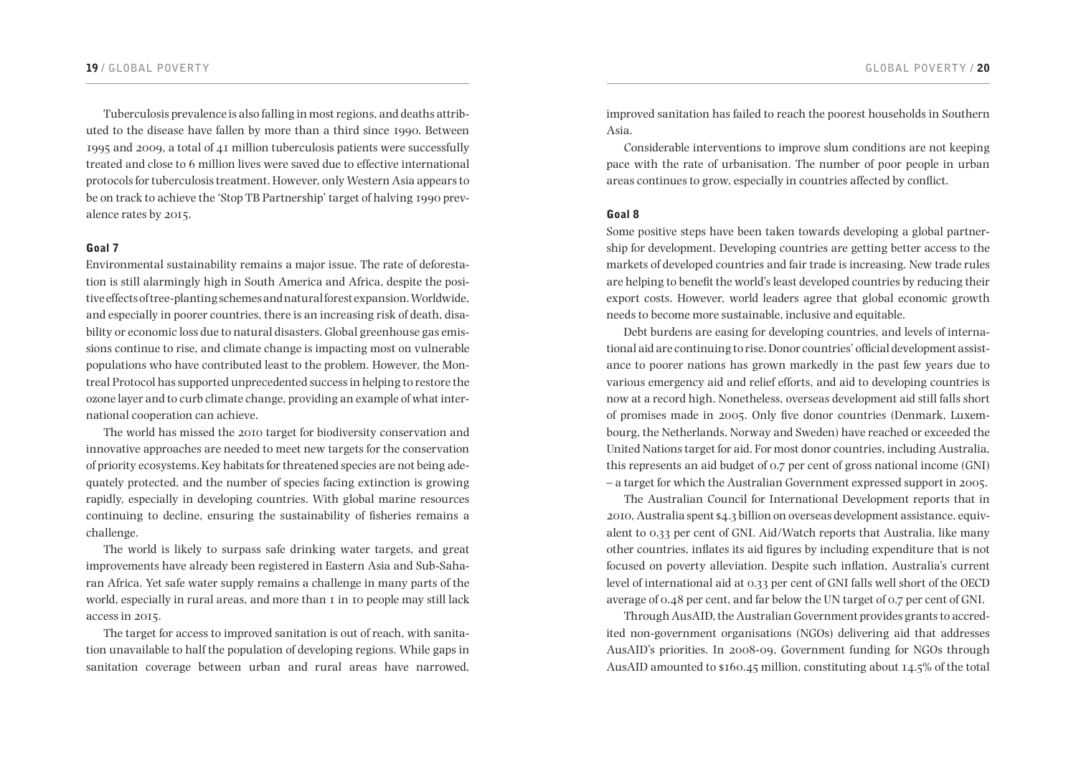#### 19 **/ GLOBAL POVERTY GLOBAL POVERTY /** 20

Tuberculosis prevalence is also falling in most regions, and deaths attributed to the disease have fallen by more than a third since 1990. Between 1995 and 2009, a total of 41 million tuberculosis patients were successfully treated and close to 6 million lives were saved due to effective international protocols for tuberculosis treatment. However, only Western Asia appears to be on track to achieve the 'Stop TB Partnership' target of halving 1990 prevalence rates by 2015.

#### Goal 7

Environmental sustainability remains a major issue. The rate of deforestation is still alarmingly high in South America and Africa, despite the positive effects of tree-planting schemes and natural forest expansion. Worldwide, and especially in poorer countries, there is an increasing risk of death, disability or economic loss due to natural disasters. Global greenhouse gas emissions continue to rise, and climate change is impacting most on vulnerable populations who have contributed least to the problem. However, the Montreal Protocol has supported unprecedented success in helping to restore the ozone layer and to curb climate change, providing an example of what international cooperation can achieve.

The world has missed the 2010 target for biodiversity conservation and innovative approaches are needed to meet new targets for the conservation of priority ecosystems. Key habitats for threatened species are not being adequately protected, and the number of species facing extinction is growing rapidly, especially in developing countries. With global marine resources continuing to decline, ensuring the sustainability of fisheries remains a challenge.

The world is likely to surpass safe drinking water targets, and great improvements have already been registered in Eastern Asia and Sub-Saharan Africa. Yet safe water supply remains a challenge in many parts of the world, especially in rural areas, and more than I in 10 people may still lack access in 2015.

The target for access to improved sanitation is out of reach, with sanitation unavailable to half the population of developing regions. While gaps in sanitation coverage between urban and rural areas have narrowed,

improved sanitation has failed to reach the poorest households in Southern Asia.

Considerable interventions to improve slum conditions are not keeping pace with the rate of urbanisation. The number of poor people in urban areas continues to grow, especially in countries affected by conflict.

#### Goal 8

Some positive steps have been taken towards developing a global partnership for development. Developing countries are getting better access to the markets of developed countries and fair trade is increasing. New trade rules are helping to benefit the world's least developed countries by reducing their export costs. However, world leaders agree that global economic growth needs to become more sustainable, inclusive and equitable.

Debt burdens are easing for developing countries, and levels of international aid are continuing to rise. Donor countries' official development assistance to poorer nations has grown markedly in the past few years due to various emergency aid and relief efforts, and aid to developing countries is now at a record high. Nonetheless, overseas development aid still falls short of promises made in 2005. Only five donor countries (Denmark, Luxembourg, the Netherlands, Norway and Sweden) have reached or exceeded the United Nations target for aid. For most donor countries, including Australia, this represents an aid budget of 0.7 per cent of gross national income (GNI) – a target for which the Australian Government expressed support in 2005.

The Australian Council for International Development reports that in 2010, Australia spent \$4.3 billion on overseas development assistance, equivalent to 0.33 per cent of GNI. Aid/Watch reports that Australia, like many other countries, inflates its aid figures by including expenditure that is not focused on poverty alleviation. Despite such inflation, Australia's current level of international aid at 0.33 per cent of GNI falls well short of the OECD average of 0.48 per cent, and far below the UN target of 0.7 per cent of GNI.

Through AusAID, the Australian Government provides grants to accredited non-government organisations (NGOs) delivering aid that addresses AusAID's priorities. In 2008-09, Government funding for NGOs through AusAID amounted to \$160.45 million, constituting about 14.5% of the total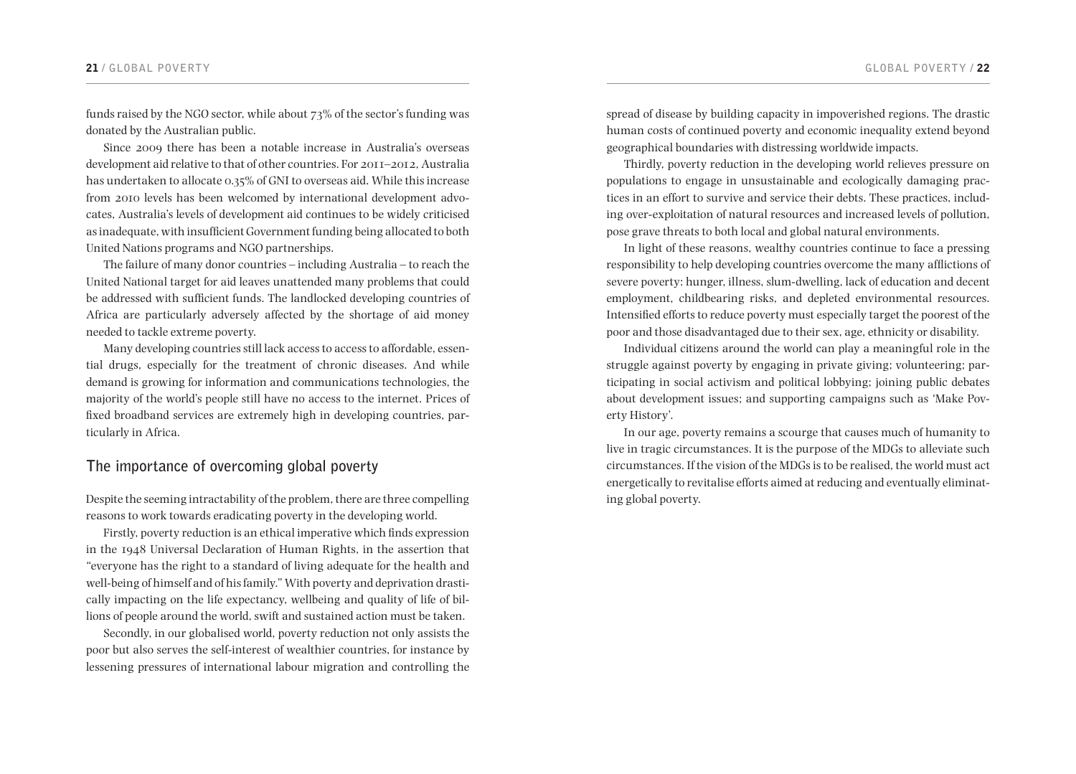funds raised by the NGO sector, while about 73% of the sector's funding was donated by the Australian public.

Since 2009 there has been a notable increase in Australia's overseas development aid relative to that of other countries. For 2011–2012, Australia has undertaken to allocate 0.35% of GNI to overseas aid. While this increase from 2010 levels has been welcomed by international development advocates, Australia's levels of development aid continues to be widely criticised as inadequate, with insufficient Government funding being allocated to both United Nations programs and NGO partnerships.

The failure of many donor countries – including Australia – to reach the United National target for aid leaves unattended many problems that could be addressed with sufficient funds. The landlocked developing countries of Africa are particularly adversely affected by the shortage of aid money needed to tackle extreme poverty.

Many developing countries still lack access to access to affordable, essential drugs, especially for the treatment of chronic diseases. And while demand is growing for information and communications technologies, the majority of the world's people still have no access to the internet. Prices of fixed broadband services are extremely high in developing countries, particularly in Africa.

# **The importance of overcoming global poverty**

Despite the seeming intractability of the problem, there are three compelling reasons to work towards eradicating poverty in the developing world.

Firstly, poverty reduction is an ethical imperative which finds expression in the 1948 Universal Declaration of Human Rights, in the assertion that "everyone has the right to a standard of living adequate for the health and well-being of himself and of his family." With poverty and deprivation drastically impacting on the life expectancy, wellbeing and quality of life of billions of people around the world, swift and sustained action must be taken.

Secondly, in our globalised world, poverty reduction not only assists the poor but also serves the self-interest of wealthier countries, for instance by lessening pressures of international labour migration and controlling the spread of disease by building capacity in impoverished regions. The drastic human costs of continued poverty and economic inequality extend beyond geographical boundaries with distressing worldwide impacts.

Thirdly, poverty reduction in the developing world relieves pressure on populations to engage in unsustainable and ecologically damaging practices in an effort to survive and service their debts. These practices, including over-exploitation of natural resources and increased levels of pollution, pose grave threats to both local and global natural environments.

In light of these reasons, wealthy countries continue to face a pressing responsibility to help developing countries overcome the many afflictions of severe poverty: hunger, illness, slum-dwelling, lack of education and decent employment, childbearing risks, and depleted environmental resources. Intensified efforts to reduce poverty must especially target the poorest of the poor and those disadvantaged due to their sex, age, ethnicity or disability.

Individual citizens around the world can play a meaningful role in the struggle against poverty by engaging in private giving; volunteering; participating in social activism and political lobbying; joining public debates about development issues; and supporting campaigns such as 'Make Poverty History'.

In our age, poverty remains a scourge that causes much of humanity to live in tragic circumstances. It is the purpose of the MDGs to alleviate such circumstances. If the vision of the MDGs is to be realised, the world must act energetically to revitalise efforts aimed at reducing and eventually eliminating global poverty.